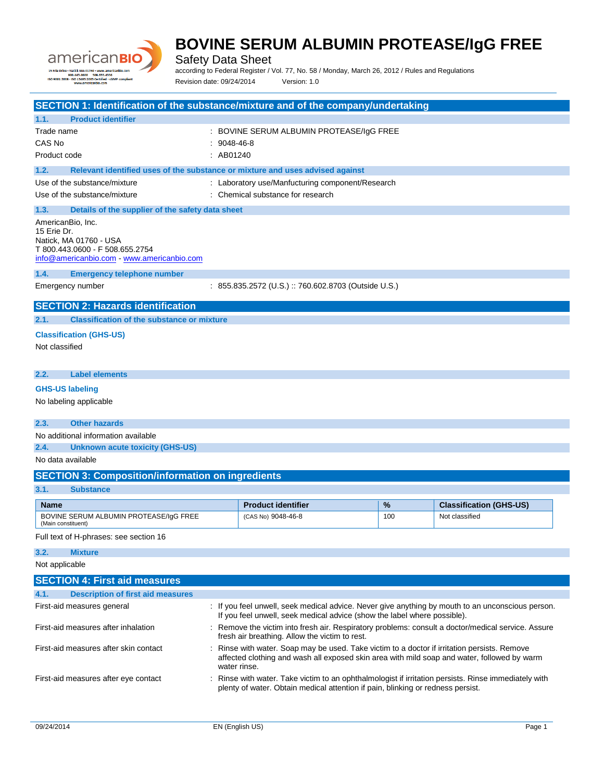

Safety Data Sheet

according to Federal Register / Vol. 77, No. 58 / Monday, March 26, 2012 / Rules and Regulations Revision date: 09/24/2014 Version: 1.0

| SECTION 1: Identification of the substance/mixture and of the company/undertaking     |                   |                                                                                                             |     |                                |
|---------------------------------------------------------------------------------------|-------------------|-------------------------------------------------------------------------------------------------------------|-----|--------------------------------|
| 1.1.<br><b>Product identifier</b>                                                     |                   |                                                                                                             |     |                                |
| Trade name                                                                            |                   | : BOVINE SERUM ALBUMIN PROTEASE/IgG FREE                                                                    |     |                                |
| CAS No                                                                                | $: 9048 - 46 - 8$ |                                                                                                             |     |                                |
| Product code                                                                          | : AB01240         |                                                                                                             |     |                                |
| 1.2.<br>Relevant identified uses of the substance or mixture and uses advised against |                   |                                                                                                             |     |                                |
| Use of the substance/mixture                                                          |                   | : Laboratory use/Manfucturing component/Research                                                            |     |                                |
| Use of the substance/mixture                                                          |                   | : Chemical substance for research                                                                           |     |                                |
| 1.3.<br>Details of the supplier of the safety data sheet                              |                   |                                                                                                             |     |                                |
| AmericanBio, Inc.                                                                     |                   |                                                                                                             |     |                                |
| 15 Erie Dr.                                                                           |                   |                                                                                                             |     |                                |
| Natick, MA 01760 - USA                                                                |                   |                                                                                                             |     |                                |
| T 800.443.0600 - F 508.655.2754<br>info@americanbio.com - www.americanbio.com         |                   |                                                                                                             |     |                                |
|                                                                                       |                   |                                                                                                             |     |                                |
| 1.4.<br><b>Emergency telephone number</b>                                             |                   |                                                                                                             |     |                                |
| Emergency number                                                                      |                   | : 855.835.2572 (U.S.) :: 760.602.8703 (Outside U.S.)                                                        |     |                                |
| <b>SECTION 2: Hazards identification</b>                                              |                   |                                                                                                             |     |                                |
| 2.1.<br><b>Classification of the substance or mixture</b>                             |                   |                                                                                                             |     |                                |
| <b>Classification (GHS-US)</b>                                                        |                   |                                                                                                             |     |                                |
| Not classified                                                                        |                   |                                                                                                             |     |                                |
|                                                                                       |                   |                                                                                                             |     |                                |
|                                                                                       |                   |                                                                                                             |     |                                |
| 2.2.<br><b>Label elements</b>                                                         |                   |                                                                                                             |     |                                |
| <b>GHS-US labeling</b>                                                                |                   |                                                                                                             |     |                                |
| No labeling applicable                                                                |                   |                                                                                                             |     |                                |
|                                                                                       |                   |                                                                                                             |     |                                |
| <b>Other hazards</b><br>2.3.                                                          |                   |                                                                                                             |     |                                |
| No additional information available                                                   |                   |                                                                                                             |     |                                |
| 2.4.<br><b>Unknown acute toxicity (GHS-US)</b>                                        |                   |                                                                                                             |     |                                |
| No data available                                                                     |                   |                                                                                                             |     |                                |
| <b>SECTION 3: Composition/information on ingredients</b>                              |                   |                                                                                                             |     |                                |
| 3.1.<br><b>Substance</b>                                                              |                   |                                                                                                             |     |                                |
| <b>Name</b>                                                                           |                   | <b>Product identifier</b>                                                                                   | %   | <b>Classification (GHS-US)</b> |
| BOVINE SERUM ALBUMIN PROTEASE/IgG FREE                                                |                   | (CAS No) 9048-46-8                                                                                          | 100 | Not classified                 |
| (Main constituent)                                                                    |                   |                                                                                                             |     |                                |
| Full text of H-phrases: see section 16                                                |                   |                                                                                                             |     |                                |
| <b>Mixture</b><br>3.2.                                                                |                   |                                                                                                             |     |                                |
| Not applicable                                                                        |                   |                                                                                                             |     |                                |
| <b>SECTION 4: First aid measures</b>                                                  |                   |                                                                                                             |     |                                |
| <b>Description of first aid measures</b><br>4.1.                                      |                   |                                                                                                             |     |                                |
| First-aid measures general                                                            |                   | : If you feel unwell, seek medical advice. Never give anything by mouth to an unconscious person.           |     |                                |
|                                                                                       |                   | If you feel unwell, seek medical advice (show the label where possible).                                    |     |                                |
| First-aid measures after inhalation                                                   |                   | Remove the victim into fresh air. Respiratory problems: consult a doctor/medical service. Assure            |     |                                |
|                                                                                       |                   | fresh air breathing. Allow the victim to rest.                                                              |     |                                |
| First-aid measures after skin contact                                                 |                   | Rinse with water. Soap may be used. Take victim to a doctor if irritation persists. Remove                  |     |                                |
|                                                                                       |                   | affected clothing and wash all exposed skin area with mild soap and water, followed by warm<br>water rinse. |     |                                |
| First-aid measures after eye contact                                                  |                   | : Rinse with water. Take victim to an ophthalmologist if irritation persists. Rinse immediately with        |     |                                |
|                                                                                       |                   | plenty of water. Obtain medical attention if pain, blinking or redness persist.                             |     |                                |
|                                                                                       |                   |                                                                                                             |     |                                |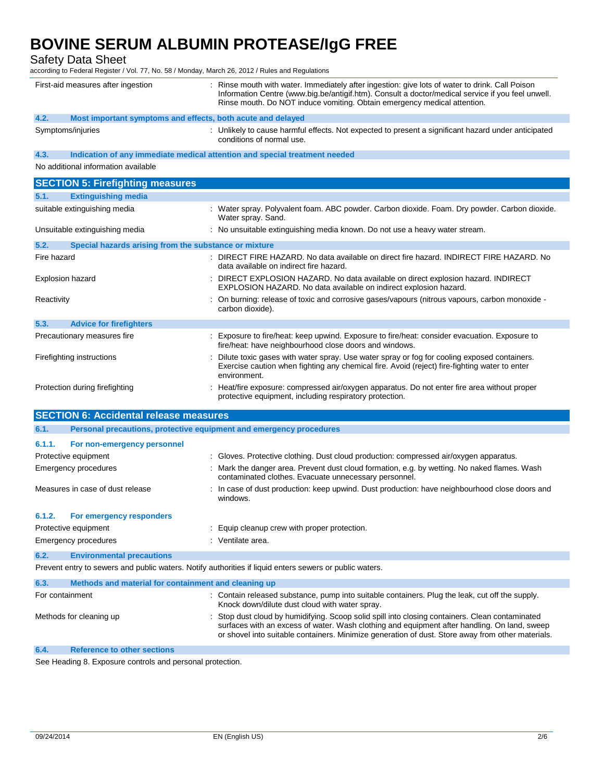Safety Data Sheet

according to Federal Register / Vol. 77, No. 58 / Monday, March 26, 2012 / Rules and Regulations

|                  | First-aid measures after ingestion                                         | Rinse mouth with water. Immediately after ingestion: give lots of water to drink. Call Poison<br>Information Centre (www.big.be/antigif.htm). Consult a doctor/medical service if you feel unwell.<br>Rinse mouth. Do NOT induce vomiting. Obtain emergency medical attention.                     |
|------------------|----------------------------------------------------------------------------|----------------------------------------------------------------------------------------------------------------------------------------------------------------------------------------------------------------------------------------------------------------------------------------------------|
| 4.2.             | Most important symptoms and effects, both acute and delayed                |                                                                                                                                                                                                                                                                                                    |
|                  | Symptoms/injuries                                                          | : Unlikely to cause harmful effects. Not expected to present a significant hazard under anticipated<br>conditions of normal use.                                                                                                                                                                   |
| 4.3.             | Indication of any immediate medical attention and special treatment needed |                                                                                                                                                                                                                                                                                                    |
|                  | No additional information available                                        |                                                                                                                                                                                                                                                                                                    |
|                  | <b>SECTION 5: Firefighting measures</b>                                    |                                                                                                                                                                                                                                                                                                    |
| 5.1.             | <b>Extinguishing media</b>                                                 |                                                                                                                                                                                                                                                                                                    |
|                  | suitable extinguishing media                                               | : Water spray. Polyvalent foam. ABC powder. Carbon dioxide. Foam. Dry powder. Carbon dioxide.<br>Water spray. Sand.                                                                                                                                                                                |
|                  | Unsuitable extinguishing media                                             | : No unsuitable extinguishing media known. Do not use a heavy water stream.                                                                                                                                                                                                                        |
| 5.2.             | Special hazards arising from the substance or mixture                      |                                                                                                                                                                                                                                                                                                    |
| Fire hazard      |                                                                            | DIRECT FIRE HAZARD. No data available on direct fire hazard. INDIRECT FIRE HAZARD. No<br>data available on indirect fire hazard.                                                                                                                                                                   |
| Explosion hazard |                                                                            | DIRECT EXPLOSION HAZARD. No data available on direct explosion hazard. INDIRECT<br>EXPLOSION HAZARD. No data available on indirect explosion hazard.                                                                                                                                               |
| Reactivity       |                                                                            | : On burning: release of toxic and corrosive gases/vapours (nitrous vapours, carbon monoxide -<br>carbon dioxide).                                                                                                                                                                                 |
| 5.3.             | <b>Advice for firefighters</b>                                             |                                                                                                                                                                                                                                                                                                    |
|                  | Precautionary measures fire                                                | Exposure to fire/heat: keep upwind. Exposure to fire/heat: consider evacuation. Exposure to<br>fire/heat: have neighbourhood close doors and windows.                                                                                                                                              |
|                  | Firefighting instructions                                                  | Dilute toxic gases with water spray. Use water spray or fog for cooling exposed containers.<br>Exercise caution when fighting any chemical fire. Avoid (reject) fire-fighting water to enter<br>environment.                                                                                       |
|                  | Protection during firefighting                                             | Heat/fire exposure: compressed air/oxygen apparatus. Do not enter fire area without proper<br>protective equipment, including respiratory protection.                                                                                                                                              |
|                  | <b>SECTION 6: Accidental release measures</b>                              |                                                                                                                                                                                                                                                                                                    |
| 6.1.             | Personal precautions, protective equipment and emergency procedures        |                                                                                                                                                                                                                                                                                                    |
| 6.1.1.           | For non-emergency personnel                                                |                                                                                                                                                                                                                                                                                                    |
|                  | Protective equipment                                                       | : Gloves. Protective clothing. Dust cloud production: compressed air/oxygen apparatus.                                                                                                                                                                                                             |
|                  | <b>Emergency procedures</b>                                                | : Mark the danger area. Prevent dust cloud formation, e.g. by wetting. No naked flames. Wash<br>contaminated clothes. Evacuate unnecessary personnel.                                                                                                                                              |
|                  | Measures in case of dust release                                           | : In case of dust production: keep upwind. Dust production: have neighbourhood close doors and<br>windows.                                                                                                                                                                                         |
| 6.1.2.           | <b>For emergency responders</b>                                            |                                                                                                                                                                                                                                                                                                    |
|                  | Protective equipment                                                       | Equip cleanup crew with proper protection.                                                                                                                                                                                                                                                         |
|                  | <b>Emergency procedures</b>                                                | : Ventilate area.                                                                                                                                                                                                                                                                                  |
| 6.2.             | <b>Environmental precautions</b>                                           |                                                                                                                                                                                                                                                                                                    |
|                  |                                                                            | Prevent entry to sewers and public waters. Notify authorities if liquid enters sewers or public waters.                                                                                                                                                                                            |
| 6.3.             | Methods and material for containment and cleaning up                       |                                                                                                                                                                                                                                                                                                    |
| For containment  |                                                                            | : Contain released substance, pump into suitable containers. Plug the leak, cut off the supply.<br>Knock down/dilute dust cloud with water spray.                                                                                                                                                  |
|                  | Methods for cleaning up                                                    | Stop dust cloud by humidifying. Scoop solid spill into closing containers. Clean contaminated<br>surfaces with an excess of water. Wash clothing and equipment after handling. On land, sweep<br>or shovel into suitable containers. Minimize generation of dust. Store away from other materials. |
| 6.4.             | <b>Reference to other sections</b>                                         |                                                                                                                                                                                                                                                                                                    |

See Heading 8. Exposure controls and personal protection.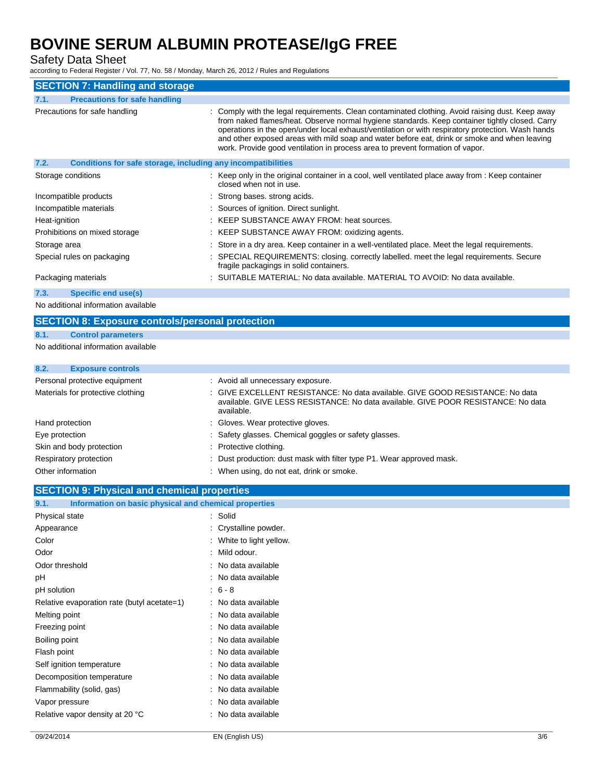Safety Data Sheet

according to Federal Register / Vol. 77, No. 58 / Monday, March 26, 2012 / Rules and Regulations

| <b>SECTION 7: Handling and storage</b>                               |                                                                                                                                                                                                                                                                                                                                                                                                                                                                                          |
|----------------------------------------------------------------------|------------------------------------------------------------------------------------------------------------------------------------------------------------------------------------------------------------------------------------------------------------------------------------------------------------------------------------------------------------------------------------------------------------------------------------------------------------------------------------------|
| <b>Precautions for safe handling</b><br>7.1.                         |                                                                                                                                                                                                                                                                                                                                                                                                                                                                                          |
| Precautions for safe handling                                        | : Comply with the legal requirements. Clean contaminated clothing. Avoid raising dust. Keep away<br>from naked flames/heat. Observe normal hygiene standards. Keep container tightly closed. Carry<br>operations in the open/under local exhaust/ventilation or with respiratory protection. Wash hands<br>and other exposed areas with mild soap and water before eat, drink or smoke and when leaving<br>work. Provide good ventilation in process area to prevent formation of vapor. |
| 7.2.<br>Conditions for safe storage, including any incompatibilities |                                                                                                                                                                                                                                                                                                                                                                                                                                                                                          |
| Storage conditions                                                   | : Keep only in the original container in a cool, well ventilated place away from : Keep container<br>closed when not in use.                                                                                                                                                                                                                                                                                                                                                             |
| Incompatible products                                                | : Strong bases, strong acids.                                                                                                                                                                                                                                                                                                                                                                                                                                                            |
| Incompatible materials                                               | : Sources of ignition. Direct sunlight.                                                                                                                                                                                                                                                                                                                                                                                                                                                  |
| Heat-ignition                                                        | : KEEP SUBSTANCE AWAY FROM: heat sources.                                                                                                                                                                                                                                                                                                                                                                                                                                                |
| Prohibitions on mixed storage                                        | : KEEP SUBSTANCE AWAY FROM: oxidizing agents.                                                                                                                                                                                                                                                                                                                                                                                                                                            |
| Storage area                                                         | : Store in a dry area. Keep container in a well-ventilated place. Meet the legal requirements.                                                                                                                                                                                                                                                                                                                                                                                           |
| Special rules on packaging                                           | : SPECIAL REQUIREMENTS: closing. correctly labelled. meet the legal requirements. Secure<br>fragile packagings in solid containers.                                                                                                                                                                                                                                                                                                                                                      |
| Packaging materials                                                  | : SUITABLE MATERIAL: No data available. MATERIAL TO AVOID: No data available.                                                                                                                                                                                                                                                                                                                                                                                                            |
| Specific end use(s)<br>7.3.                                          |                                                                                                                                                                                                                                                                                                                                                                                                                                                                                          |

No additional information available

#### **SECTION 8: Exposure controls/personal protection**

#### **8.1. Control parameters**

No additional information available

### **8.2. Exposure controls**

| Personal protective equipment     | : Avoid all unnecessary exposure.                                                                                                                                                |
|-----------------------------------|----------------------------------------------------------------------------------------------------------------------------------------------------------------------------------|
| Materials for protective clothing | : GIVE EXCELLENT RESISTANCE: No data available. GIVE GOOD RESISTANCE: No data<br>available. GIVE LESS RESISTANCE: No data available. GIVE POOR RESISTANCE: No data<br>available. |
| Hand protection                   | : Gloves. Wear protective gloves.                                                                                                                                                |
| Eye protection                    | : Safety glasses. Chemical goggles or safety glasses.                                                                                                                            |
| Skin and body protection          | : Protective clothing.                                                                                                                                                           |
| Respiratory protection            | : Dust production: dust mask with filter type P1. Wear approved mask.                                                                                                            |
| Other information                 | When using, do not eat, drink or smoke.                                                                                                                                          |

### **SECTION 9: Physical and chemical properties**

| Information on basic physical and chemical properties<br>9.1. |                        |
|---------------------------------------------------------------|------------------------|
| Physical state                                                | Solid                  |
| Appearance                                                    | Crystalline powder.    |
| Color                                                         | White to light yellow. |
| Odor                                                          | Mild odour.            |
| Odor threshold                                                | No data available      |
| рH                                                            | No data available      |
| pH solution                                                   | $6 - 8$                |
| Relative evaporation rate (butyl acetate=1)                   | No data available      |
| Melting point                                                 | No data available      |
| Freezing point                                                | No data available      |
| Boiling point                                                 | No data available      |
| Flash point                                                   | No data available      |
| Self ignition temperature                                     | No data available      |
| Decomposition temperature                                     | No data available      |
| Flammability (solid, gas)                                     | No data available      |
| Vapor pressure                                                | No data available      |
| Relative vapor density at 20 °C                               | No data available      |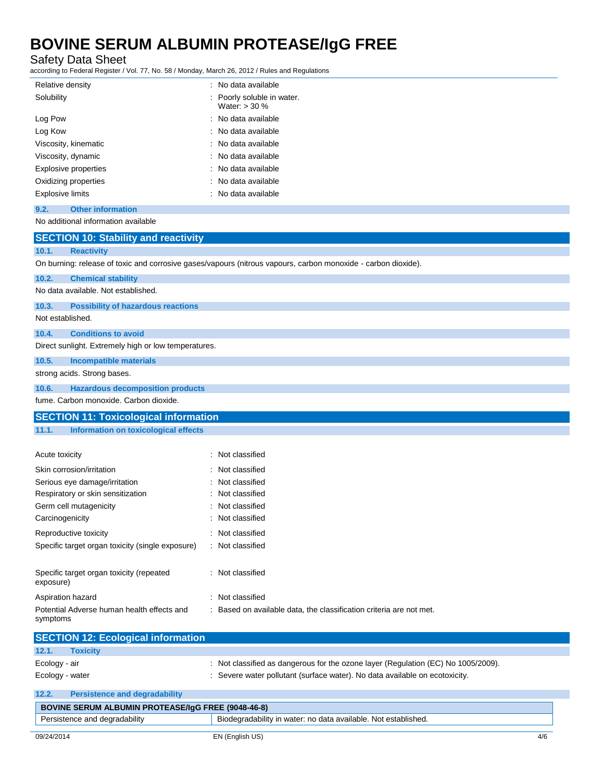Safety Data Sheet

according to Federal Register / Vol. 77, No. 58 / Monday, March 26, 2012 / Rules and Regulations

| Relative density                 | : No data available                           |
|----------------------------------|-----------------------------------------------|
| Solubility                       | : Poorly soluble in water.<br>Water: $>$ 30 % |
| Log Pow                          | : No data available                           |
| Log Kow                          | : No data available                           |
| Viscosity, kinematic             | : No data available                           |
| Viscosity, dynamic               | : No data available                           |
| <b>Explosive properties</b>      | : No data available                           |
| Oxidizing properties             | : No data available                           |
| <b>Explosive limits</b>          | : No data available                           |
| <b>Other information</b><br>9.2. |                                               |

No additional information available

|                  | <b>SECTION 10: Stability and reactivity</b>          |                                                                                                               |
|------------------|------------------------------------------------------|---------------------------------------------------------------------------------------------------------------|
| 10.1.            | <b>Reactivity</b>                                    |                                                                                                               |
|                  |                                                      | On burning: release of toxic and corrosive gases/vapours (nitrous vapours, carbon monoxide - carbon dioxide). |
| 10.2.            | <b>Chemical stability</b>                            |                                                                                                               |
|                  | No data available. Not established.                  |                                                                                                               |
| 10.3.            | <b>Possibility of hazardous reactions</b>            |                                                                                                               |
| Not established. |                                                      |                                                                                                               |
| 10.4.            | <b>Conditions to avoid</b>                           |                                                                                                               |
|                  | Direct sunlight. Extremely high or low temperatures. |                                                                                                               |
| 10.5.            | <b>Incompatible materials</b>                        |                                                                                                               |
|                  | strong acids. Strong bases.                          |                                                                                                               |
| 10.6.            | <b>Hazardous decomposition products</b>              |                                                                                                               |
|                  | fume. Carbon monoxide. Carbon dioxide.               |                                                                                                               |
|                  | <b>SECTION 11: Toxicological information</b>         |                                                                                                               |
| 11.1.            | <b>Information on toxicological effects</b>          |                                                                                                               |
|                  |                                                      |                                                                                                               |
| Acute toxicity   |                                                      | : Not classified                                                                                              |
|                  | Skin corrosion/irritation                            | Not classified                                                                                                |
|                  | Serious eye damage/irritation                        | Not classified                                                                                                |
|                  | Respiratory or skin sensitization                    | Not classified                                                                                                |
|                  | Germ cell mutagenicity                               | Not classified                                                                                                |
| Carcinogenicity  |                                                      | Not classified                                                                                                |
|                  | Reproductive toxicity                                | : Not classified                                                                                              |
|                  | Specific target organ toxicity (single exposure)     | : Not classified                                                                                              |
|                  |                                                      |                                                                                                               |
| exposure)        | Specific target organ toxicity (repeated             | : Not classified                                                                                              |
|                  | Aspiration hazard                                    | : Not classified                                                                                              |
| symptoms         | Potential Adverse human health effects and           | : Based on available data, the classification criteria are not met.                                           |
|                  | <b>SECTION 12: Ecological information</b>            |                                                                                                               |
| 12.1.            | <b>Toxicity</b>                                      |                                                                                                               |
|                  |                                                      |                                                                                                               |

| Loulugy - all   |  |
|-----------------|--|
| Ecology - water |  |

Ecology - air **in the observe of the original contract** to the ozone layer (Regulation (EC) No 1005/2009). cology - water **inducedy** cology - water pollutant (surface water). No data available on ecotoxicity.

| 12.2.      | <b>Persistence and degradability</b>                      |                                                                |
|------------|-----------------------------------------------------------|----------------------------------------------------------------|
|            | <b>BOVINE SERUM ALBUMIN PROTEASE/IgG FREE (9048-46-8)</b> |                                                                |
|            | Persistence and degradability                             | Biodegradability in water: no data available. Not established. |
|            |                                                           |                                                                |
| 09/24/2014 |                                                           | EN (English US)<br>4/6                                         |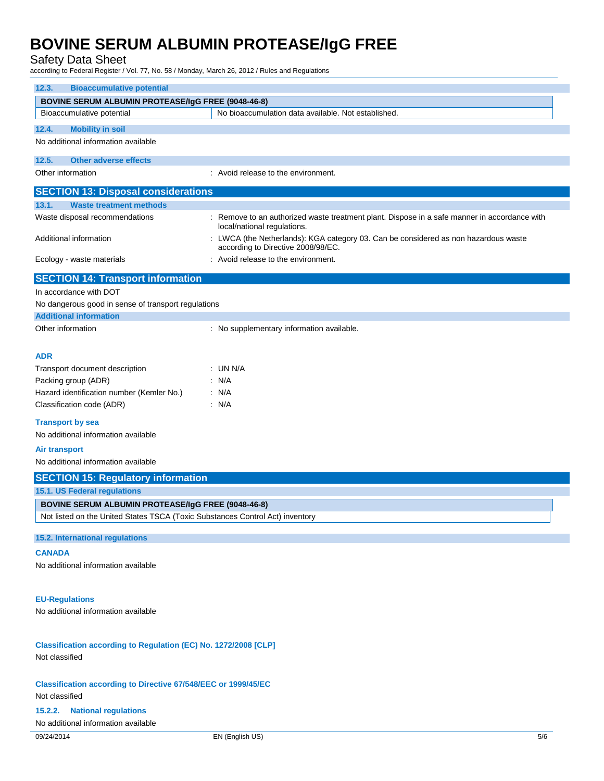#### Safety Data Sheet

according to Federal Register / Vol. 77, No. 58 / Monday, March 26, 2012 / Rules and Regulations

| <b>Bioaccumulative potential</b><br>12.3.                                     |                                                                                                                           |  |
|-------------------------------------------------------------------------------|---------------------------------------------------------------------------------------------------------------------------|--|
| <b>BOVINE SERUM ALBUMIN PROTEASE/IgG FREE (9048-46-8)</b>                     |                                                                                                                           |  |
| Bioaccumulative potential                                                     | No bioaccumulation data available. Not established.                                                                       |  |
| 12.4.<br><b>Mobility in soil</b>                                              |                                                                                                                           |  |
| No additional information available                                           |                                                                                                                           |  |
|                                                                               |                                                                                                                           |  |
| <b>Other adverse effects</b><br>12.5.                                         |                                                                                                                           |  |
| Other information                                                             | : Avoid release to the environment.                                                                                       |  |
| <b>SECTION 13: Disposal considerations</b>                                    |                                                                                                                           |  |
| 13.1.<br><b>Waste treatment methods</b>                                       |                                                                                                                           |  |
| Waste disposal recommendations                                                | Remove to an authorized waste treatment plant. Dispose in a safe manner in accordance with<br>local/national regulations. |  |
| Additional information                                                        | : LWCA (the Netherlands): KGA category 03. Can be considered as non hazardous waste<br>according to Directive 2008/98/EC. |  |
| Ecology - waste materials                                                     | : Avoid release to the environment.                                                                                       |  |
| <b>SECTION 14: Transport information</b>                                      |                                                                                                                           |  |
| In accordance with DOT                                                        |                                                                                                                           |  |
| No dangerous good in sense of transport regulations                           |                                                                                                                           |  |
| <b>Additional information</b>                                                 |                                                                                                                           |  |
| Other information                                                             | : No supplementary information available.                                                                                 |  |
|                                                                               |                                                                                                                           |  |
| ADR                                                                           |                                                                                                                           |  |
| Transport document description                                                | : UN N/A                                                                                                                  |  |
| Packing group (ADR)                                                           | : N/A                                                                                                                     |  |
| Hazard identification number (Kemler No.)                                     | : N/A                                                                                                                     |  |
| Classification code (ADR)                                                     | : N/A                                                                                                                     |  |
| <b>Transport by sea</b><br>No additional information available                |                                                                                                                           |  |
| Air transport                                                                 |                                                                                                                           |  |
| No additional information available                                           |                                                                                                                           |  |
| <b>SECTION 15: Regulatory information</b>                                     |                                                                                                                           |  |
| 15.1. US Federal regulations                                                  |                                                                                                                           |  |
| <b>BOVINE SERUM ALBUMIN PROTEASE/IgG FREE (9048-46-8)</b>                     |                                                                                                                           |  |
| Not listed on the United States TSCA (Toxic Substances Control Act) inventory |                                                                                                                           |  |
|                                                                               |                                                                                                                           |  |
| 15.2. International regulations                                               |                                                                                                                           |  |
| <b>CANADA</b>                                                                 |                                                                                                                           |  |
| No additional information available                                           |                                                                                                                           |  |
|                                                                               |                                                                                                                           |  |
|                                                                               |                                                                                                                           |  |
| <b>EU-Regulations</b><br>No additional information available                  |                                                                                                                           |  |
|                                                                               |                                                                                                                           |  |
| Classification according to Regulation (EC) No. 1272/2008 [CLP]               |                                                                                                                           |  |
| Not classified                                                                |                                                                                                                           |  |
|                                                                               |                                                                                                                           |  |
| <b>Classification according to Directive 67/548/EEC or 1999/45/EC</b>         |                                                                                                                           |  |
| Not classified                                                                |                                                                                                                           |  |
| <b>National regulations</b><br>15.2.2.                                        |                                                                                                                           |  |
| No additional information available                                           |                                                                                                                           |  |
| 09/24/2014                                                                    | EN (English US)<br>5/6                                                                                                    |  |
|                                                                               |                                                                                                                           |  |